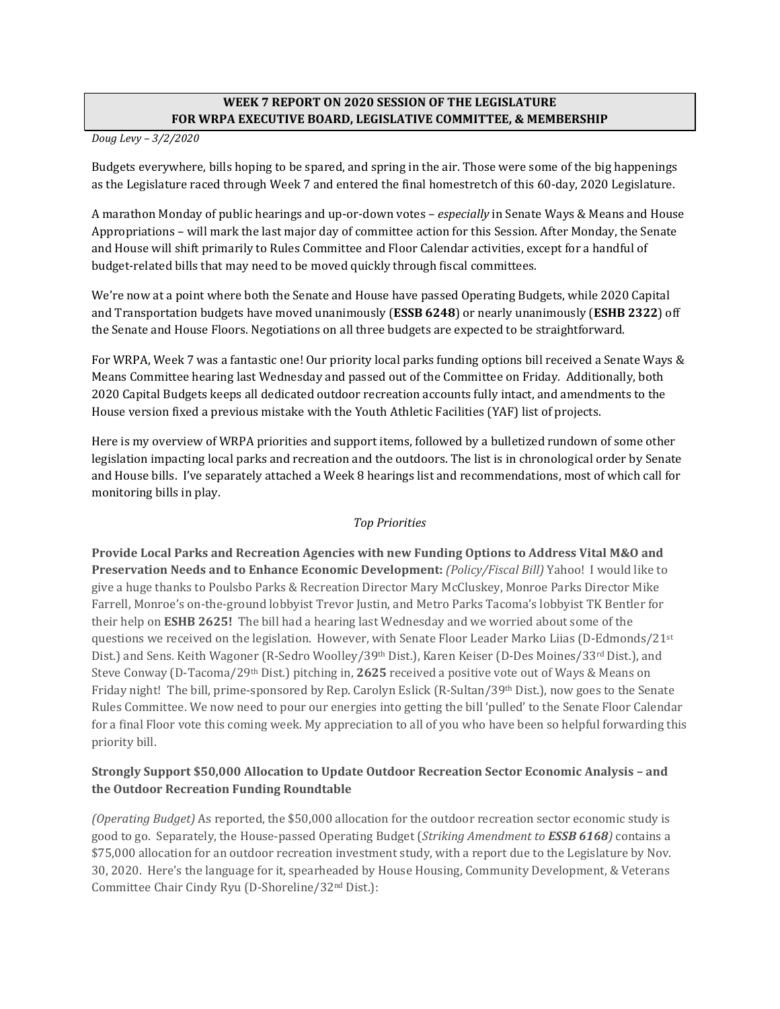# **WEEK 7 REPORT ON 2020 SESSION OF THE LEGISLATURE FOR WRPA EXECUTIVE BOARD, LEGISLATIVE COMMITTEE, & MEMBERSHIP**

*Doug Levy – 3/2/2020*

Budgets everywhere, bills hoping to be spared, and spring in the air. Those were some of the big happenings as the Legislature raced through Week 7 and entered the final homestretch of this 60-day, 2020 Legislature.

A marathon Monday of public hearings and up-or-down votes – *especially* in Senate Ways & Means and House Appropriations – will mark the last major day of committee action for this Session. After Monday, the Senate and House will shift primarily to Rules Committee and Floor Calendar activities, except for a handful of budget-related bills that may need to be moved quickly through fiscal committees.

We're now at a point where both the Senate and House have passed Operating Budgets, while 2020 Capital and Transportation budgets have moved unanimously (**ESSB 6248**) or nearly unanimously (**ESHB 2322**) off the Senate and House Floors. Negotiations on all three budgets are expected to be straightforward.

For WRPA, Week 7 was a fantastic one! Our priority local parks funding options bill received a Senate Ways & Means Committee hearing last Wednesday and passed out of the Committee on Friday. Additionally, both 2020 Capital Budgets keeps all dedicated outdoor recreation accounts fully intact, and amendments to the House version fixed a previous mistake with the Youth Athletic Facilities (YAF) list of projects.

Here is my overview of WRPA priorities and support items, followed by a bulletized rundown of some other legislation impacting local parks and recreation and the outdoors. The list is in chronological order by Senate and House bills. I've separately attached a Week 8 hearings list and recommendations, most of which call for monitoring bills in play.

## *Top Priorities*

**Provide Local Parks and Recreation Agencies with new Funding Options to Address Vital M&O and Preservation Needs and to Enhance Economic Development:** *(Policy/Fiscal Bill)* Yahoo! I would like to give a huge thanks to Poulsbo Parks & Recreation Director Mary McCluskey, Monroe Parks Director Mike Farrell, Monroe's on-the-ground lobbyist Trevor Justin, and Metro Parks Tacoma's lobbyist TK Bentler for their help on **ESHB 2625!** The bill had a hearing last Wednesday and we worried about some of the questions we received on the legislation. However, with Senate Floor Leader Marko Liias (D-Edmonds/21st Dist.) and Sens. Keith Wagoner (R-Sedro Woolley/39<sup>th</sup> Dist.), Karen Keiser (D-Des Moines/33<sup>rd</sup> Dist.), and Steve Conway (D-Tacoma/29th Dist.) pitching in, **2625** received a positive vote out of Ways & Means on Friday night! The bill, prime-sponsored by Rep. Carolyn Eslick (R-Sultan/39th Dist.), now goes to the Senate Rules Committee. We now need to pour our energies into getting the bill 'pulled' to the Senate Floor Calendar for a final Floor vote this coming week. My appreciation to all of you who have been so helpful forwarding this priority bill.

# **Strongly Support \$50,000 Allocation to Update Outdoor Recreation Sector Economic Analysis – and the Outdoor Recreation Funding Roundtable**

*(Operating Budget)* As reported, the \$50,000 allocation for the outdoor recreation sector economic study is good to go. Separately, the House-passed Operating Budget (*Striking Amendment to ESSB 6168)* contains a \$75,000 allocation for an outdoor recreation investment study, with a report due to the Legislature by Nov. 30, 2020. Here's the language for it, spearheaded by House Housing, Community Development, & Veterans Committee Chair Cindy Ryu (D-Shoreline/32nd Dist.):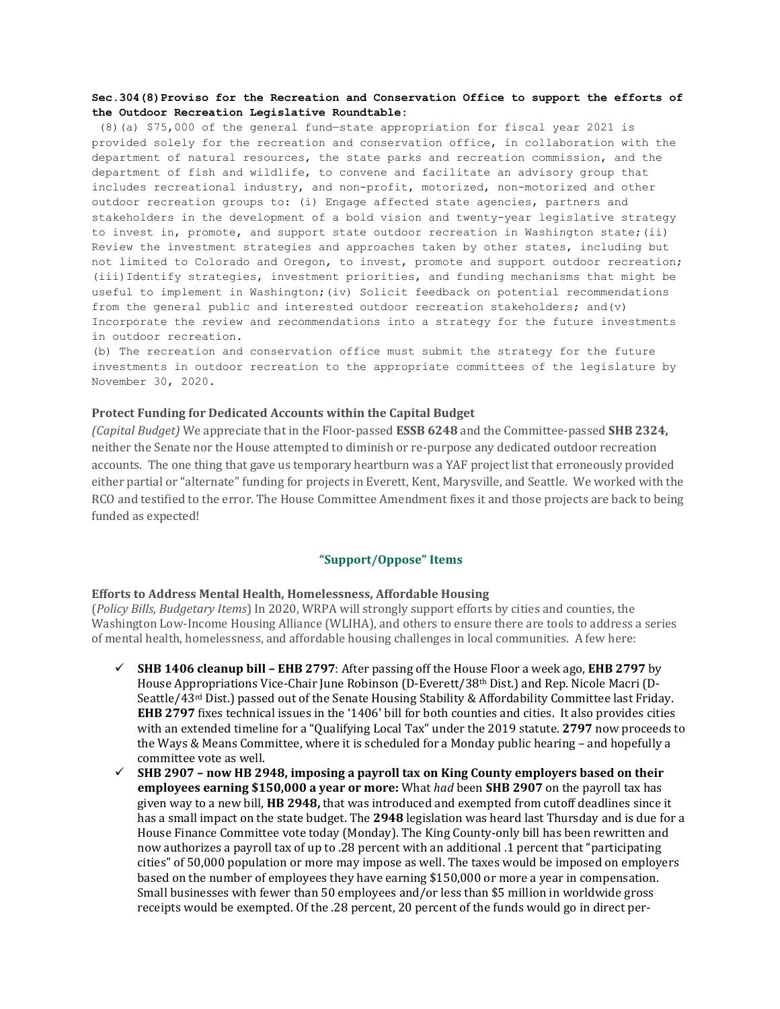#### **Sec.304(8)Proviso for the Recreation and Conservation Office to support the efforts of the Outdoor Recreation Legislative Roundtable:**

(8)(a) \$75,000 of the general fund—state appropriation for fiscal year 2021 is provided solely for the recreation and conservation office, in collaboration with the department of natural resources, the state parks and recreation commission, and the department of fish and wildlife, to convene and facilitate an advisory group that includes recreational industry, and non-profit, motorized, non-motorized and other outdoor recreation groups to: (i) Engage affected state agencies, partners and stakeholders in the development of a bold vision and twenty-year legislative strategy to invest in, promote, and support state outdoor recreation in Washington state;(ii) Review the investment strategies and approaches taken by other states, including but not limited to Colorado and Oregon, to invest, promote and support outdoor recreation; (iii)Identify strategies, investment priorities, and funding mechanisms that might be useful to implement in Washington;(iv) Solicit feedback on potential recommendations from the general public and interested outdoor recreation stakeholders; and(v) Incorporate the review and recommendations into a strategy for the future investments in outdoor recreation.

(b) The recreation and conservation office must submit the strategy for the future investments in outdoor recreation to the appropriate committees of the legislature by November 30, 2020.

#### **Protect Funding for Dedicated Accounts within the Capital Budget**

*(Capital Budget)* We appreciate that in the Floor-passed **ESSB 6248** and the Committee-passed **SHB 2324,**  neither the Senate nor the House attempted to diminish or re-purpose any dedicated outdoor recreation accounts. The one thing that gave us temporary heartburn was a YAF project list that erroneously provided either partial or "alternate" funding for projects in Everett, Kent, Marysville, and Seattle. We worked with the RCO and testified to the error. The House Committee Amendment fixes it and those projects are back to being funded as expected!

#### **"Support/Oppose" Items**

#### **Efforts to Address Mental Health, Homelessness, Affordable Housing**

(*Policy Bills, Budgetary Items*) In 2020, WRPA will strongly support efforts by cities and counties, the Washington Low-Income Housing Alliance (WLIHA), and others to ensure there are tools to address a series of mental health, homelessness, and affordable housing challenges in local communities. A few here:

- **SHB 1406 cleanup bill – EHB 2797**: After passing off the House Floor a week ago, **EHB 2797** by House Appropriations Vice-Chair June Robinson (D-Everett/38th Dist.) and Rep. Nicole Macri (D-Seattle/43<sup>rd</sup> Dist.) passed out of the Senate Housing Stability & Affordability Committee last Friday. **EHB 2797** fixes technical issues in the '1406' bill for both counties and cities. It also provides cities with an extended timeline for a "Qualifying Local Tax" under the 2019 statute. **2797** now proceeds to the Ways & Means Committee, where it is scheduled for a Monday public hearing – and hopefully a committee vote as well.
- **SHB 2907 – now HB 2948, imposing a payroll tax on King County employers based on their employees earning \$150,000 a year or more:** What *had* been **SHB 2907** on the payroll tax has given way to a new bill, **HB 2948,** that was introduced and exempted from cutoff deadlines since it has a small impact on the state budget. The **2948** legislation was heard last Thursday and is due for a House Finance Committee vote today (Monday). The King County-only bill has been rewritten and now authorizes a payroll tax of up to .28 percent with an additional .1 percent that "participating cities" of 50,000 population or more may impose as well. The taxes would be imposed on employers based on the number of employees they have earning \$150,000 or more a year in compensation. Small businesses with fewer than 50 employees and/or less than \$5 million in worldwide gross receipts would be exempted. Of the .28 percent, 20 percent of the funds would go in direct per-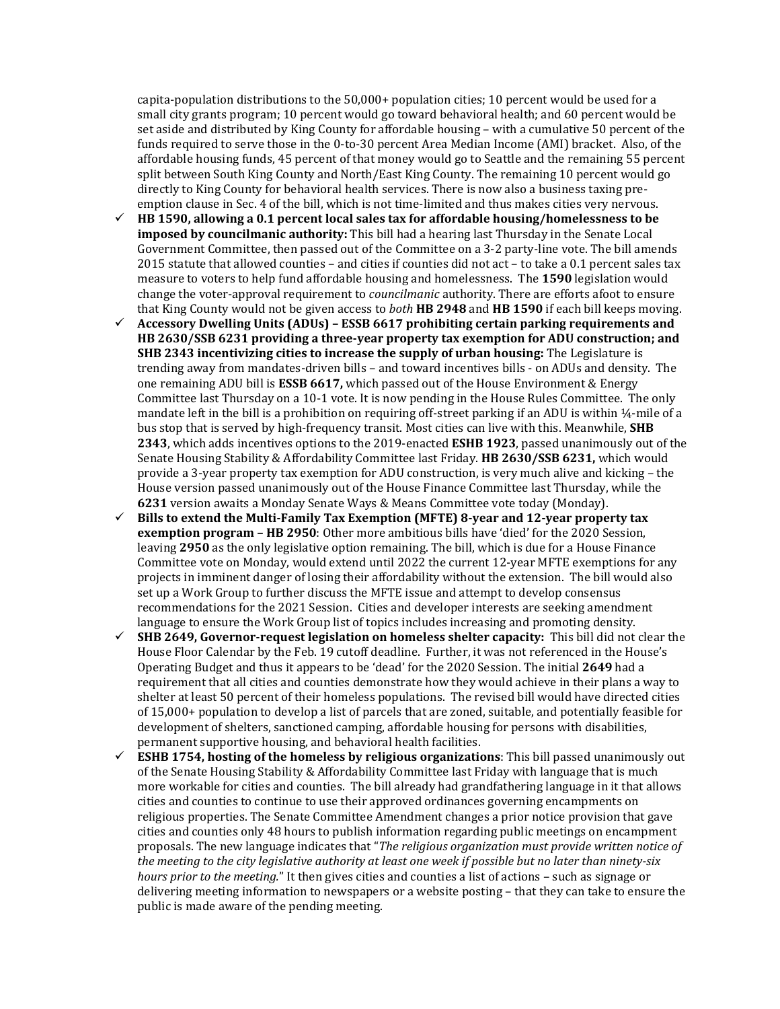capita-population distributions to the 50,000+ population cities; 10 percent would be used for a small city grants program; 10 percent would go toward behavioral health; and 60 percent would be set aside and distributed by King County for affordable housing – with a cumulative 50 percent of the funds required to serve those in the 0-to-30 percent Area Median Income (AMI) bracket. Also, of the affordable housing funds, 45 percent of that money would go to Seattle and the remaining 55 percent split between South King County and North/East King County. The remaining 10 percent would go directly to King County for behavioral health services. There is now also a business taxing preemption clause in Sec. 4 of the bill, which is not time-limited and thus makes cities very nervous.

- **HB 1590, allowing a 0.1 percent local sales tax for affordable housing/homelessness to be imposed by councilmanic authority:** This bill had a hearing last Thursday in the Senate Local Government Committee, then passed out of the Committee on a 3-2 party-line vote. The bill amends 2015 statute that allowed counties – and cities if counties did not act – to take a 0.1 percent sales tax measure to voters to help fund affordable housing and homelessness. The **1590** legislation would change the voter-approval requirement to *councilmanic* authority. There are efforts afoot to ensure that King County would not be given access to *both* **HB 2948** and **HB 1590** if each bill keeps moving.
- **Accessory Dwelling Units (ADUs) – ESSB 6617 prohibiting certain parking requirements and HB 2630/SSB 6231 providing a three-year property tax exemption for ADU construction; and SHB 2343 incentivizing cities to increase the supply of urban housing:** The Legislature is trending away from mandates-driven bills – and toward incentives bills - on ADUs and density. The one remaining ADU bill is **ESSB 6617,** which passed out of the House Environment & Energy Committee last Thursday on a 10-1 vote. It is now pending in the House Rules Committee. The only mandate left in the bill is a prohibition on requiring off-street parking if an ADU is within ¼-mile of a bus stop that is served by high-frequency transit. Most cities can live with this. Meanwhile, **SHB 2343**, which adds incentives options to the 2019-enacted **ESHB 1923**, passed unanimously out of the Senate Housing Stability & Affordability Committee last Friday. **HB 2630/SSB 6231,** which would provide a 3-year property tax exemption for ADU construction, is very much alive and kicking – the House version passed unanimously out of the House Finance Committee last Thursday, while the **6231** version awaits a Monday Senate Ways & Means Committee vote today (Monday).
- **Bills to extend the Multi-Family Tax Exemption (MFTE) 8-year and 12-year property tax exemption program – HB 2950**: Other more ambitious bills have 'died' for the 2020 Session, leaving **2950** as the only legislative option remaining. The bill, which is due for a House Finance Committee vote on Monday, would extend until 2022 the current 12-year MFTE exemptions for any projects in imminent danger of losing their affordability without the extension. The bill would also set up a Work Group to further discuss the MFTE issue and attempt to develop consensus recommendations for the 2021 Session. Cities and developer interests are seeking amendment language to ensure the Work Group list of topics includes increasing and promoting density.
- **SHB 2649, Governor-request legislation on homeless shelter capacity:** This bill did not clear the House Floor Calendar by the Feb. 19 cutoff deadline. Further, it was not referenced in the House's Operating Budget and thus it appears to be 'dead' for the 2020 Session. The initial **2649** had a requirement that all cities and counties demonstrate how they would achieve in their plans a way to shelter at least 50 percent of their homeless populations. The revised bill would have directed cities of 15,000+ population to develop a list of parcels that are zoned, suitable, and potentially feasible for development of shelters, sanctioned camping, affordable housing for persons with disabilities, permanent supportive housing, and behavioral health facilities.
- **ESHB 1754, hosting of the homeless by religious organizations**: This bill passed unanimously out of the Senate Housing Stability & Affordability Committee last Friday with language that is much more workable for cities and counties. The bill already had grandfathering language in it that allows cities and counties to continue to use their approved ordinances governing encampments on religious properties. The Senate Committee Amendment changes a prior notice provision that gave cities and counties only 48 hours to publish information regarding public meetings on encampment proposals. The new language indicates that "*The religious organization must provide written notice of the meeting to the city legislative authority at least one week if possible but no later than ninety-six hours prior to the meeting.*" It then gives cities and counties a list of actions – such as signage or delivering meeting information to newspapers or a website posting – that they can take to ensure the public is made aware of the pending meeting.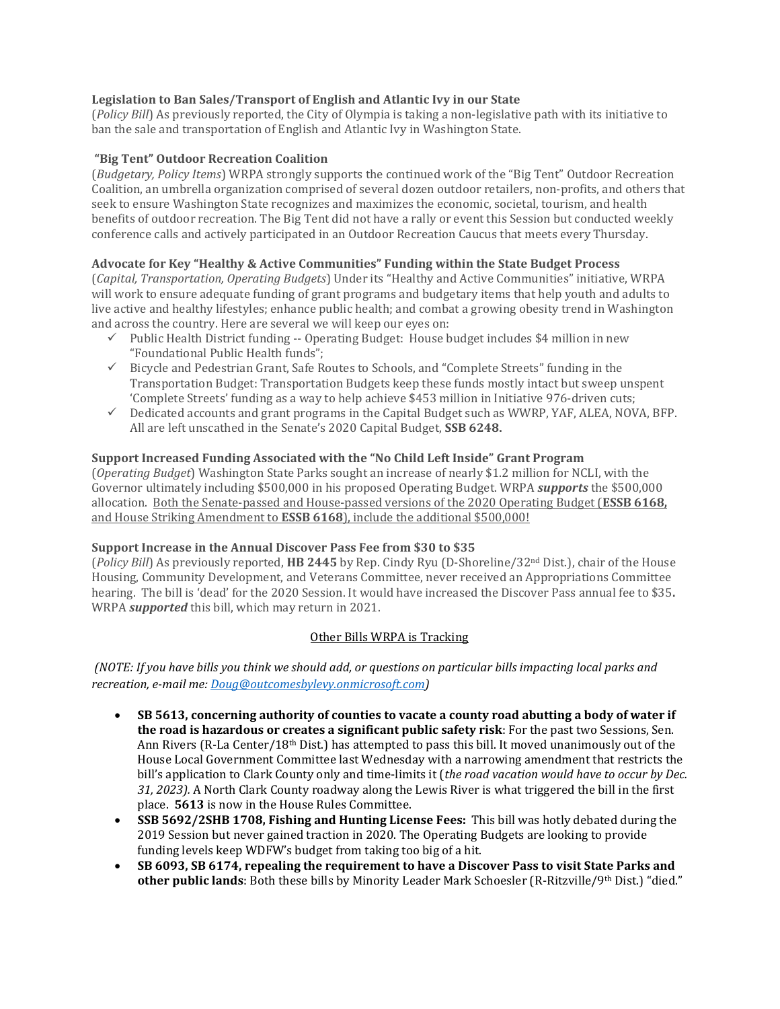## **Legislation to Ban Sales/Transport of English and Atlantic Ivy in our State**

(*Policy Bill*) As previously reported, the City of Olympia is taking a non-legislative path with its initiative to ban the sale and transportation of English and Atlantic Ivy in Washington State.

#### **"Big Tent" Outdoor Recreation Coalition**

(*Budgetary, Policy Items*) WRPA strongly supports the continued work of the "Big Tent" Outdoor Recreation Coalition, an umbrella organization comprised of several dozen outdoor retailers, non-profits, and others that seek to ensure Washington State recognizes and maximizes the economic, societal, tourism, and health benefits of outdoor recreation. The Big Tent did not have a rally or event this Session but conducted weekly conference calls and actively participated in an Outdoor Recreation Caucus that meets every Thursday.

## **Advocate for Key "Healthy & Active Communities" Funding within the State Budget Process**

(*Capital, Transportation, Operating Budgets*) Under its "Healthy and Active Communities" initiative, WRPA will work to ensure adequate funding of grant programs and budgetary items that help youth and adults to live active and healthy lifestyles; enhance public health; and combat a growing obesity trend in Washington and across the country. Here are several we will keep our eyes on:

- $\checkmark$  Public Health District funding -- Operating Budget: House budget includes \$4 million in new "Foundational Public Health funds";
- $\checkmark$  Bicycle and Pedestrian Grant, Safe Routes to Schools, and "Complete Streets" funding in the Transportation Budget: Transportation Budgets keep these funds mostly intact but sweep unspent 'Complete Streets' funding as a way to help achieve \$453 million in Initiative 976-driven cuts;
- $\checkmark$  Dedicated accounts and grant programs in the Capital Budget such as WWRP, YAF, ALEA, NOVA, BFP. All are left unscathed in the Senate's 2020 Capital Budget, **SSB 6248.**

## **Support Increased Funding Associated with the "No Child Left Inside" Grant Program**

(*Operating Budget*) Washington State Parks sought an increase of nearly \$1.2 million for NCLI, with the Governor ultimately including \$500,000 in his proposed Operating Budget. WRPA *supports* the \$500,000 allocation. Both the Senate-passed and House-passed versions of the 2020 Operating Budget (**ESSB 6168,**  and House Striking Amendment to **ESSB 6168**), include the additional \$500,000!

#### **Support Increase in the Annual Discover Pass Fee from \$30 to \$35**

(*Policy Bill*) As previously reported, **HB 2445** by Rep. Cindy Ryu (D-Shoreline/32nd Dist.), chair of the House Housing, Community Development, and Veterans Committee, never received an Appropriations Committee hearing. The bill is 'dead' for the 2020 Session. It would have increased the Discover Pass annual fee to \$35**.**  WRPA *supported* this bill, which may return in 2021.

## Other Bills WRPA is Tracking

*(NOTE: If you have bills you think we should add, or questions on particular bills impacting local parks and recreation, e-mail me[: Doug@outcomesbylevy.onmicrosoft.com\)](mailto:Doug@outcomesbylevy.onmicrosoft.com)*

- **SB 5613, concerning authority of counties to vacate a county road abutting a body of water if the road is hazardous or creates a significant public safety risk**: For the past two Sessions, Sen. Ann Rivers (R-La Center/18<sup>th</sup> Dist.) has attempted to pass this bill. It moved unanimously out of the House Local Government Committee last Wednesday with a narrowing amendment that restricts the bill's application to Clark County only and time-limits it (*the road vacation would have to occur by Dec. 31, 2023).* A North Clark County roadway along the Lewis River is what triggered the bill in the first place. **5613** is now in the House Rules Committee.
- **SSB 5692/2SHB 1708, Fishing and Hunting License Fees:** This bill was hotly debated during the 2019 Session but never gained traction in 2020. The Operating Budgets are looking to provide funding levels keep WDFW's budget from taking too big of a hit.
- **SB 6093, SB 6174, repealing the requirement to have a Discover Pass to visit State Parks and other public lands**: Both these bills by Minority Leader Mark Schoesler (R-Ritzville/9th Dist.) "died."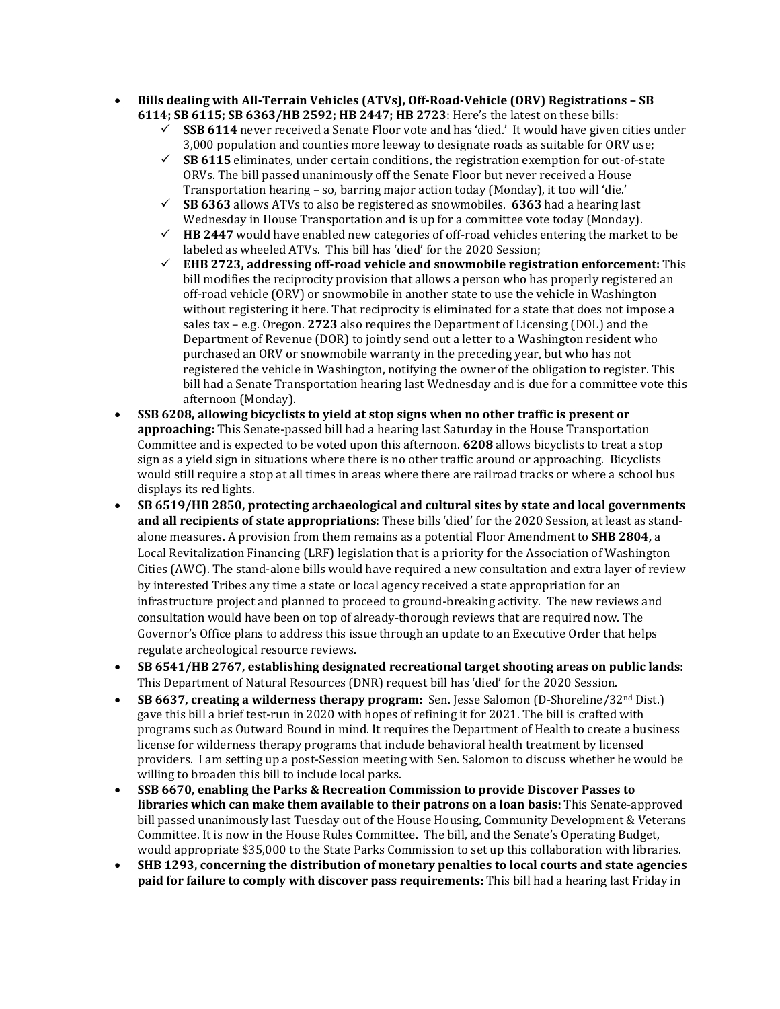- **Bills dealing with All-Terrain Vehicles (ATVs), Off-Road-Vehicle (ORV) Registrations – SB 6114; SB 6115; SB 6363/HB 2592; HB 2447; HB 2723**: Here's the latest on these bills:
	- **SSB 6114** never received a Senate Floor vote and has 'died.' It would have given cities under 3,000 population and counties more leeway to designate roads as suitable for ORV use;
	- **SB 6115** eliminates, under certain conditions, the registration exemption for out-of-state ORVs. The bill passed unanimously off the Senate Floor but never received a House Transportation hearing – so, barring major action today (Monday), it too will 'die.'
	- **SB 6363** allows ATVs to also be registered as snowmobiles. **6363** had a hearing last Wednesday in House Transportation and is up for a committee vote today (Monday).
	- **HB 2447** would have enabled new categories of off-road vehicles entering the market to be labeled as wheeled ATVs. This bill has 'died' for the 2020 Session;
	- **EHB 2723, addressing off-road vehicle and snowmobile registration enforcement:** This bill modifies the reciprocity provision that allows a person who has properly registered an off-road vehicle (ORV) or snowmobile in another state to use the vehicle in Washington without registering it here. That reciprocity is eliminated for a state that does not impose a sales tax – e.g. Oregon. **2723** also requires the Department of Licensing (DOL) and the Department of Revenue (DOR) to jointly send out a letter to a Washington resident who purchased an ORV or snowmobile warranty in the preceding year, but who has not registered the vehicle in Washington, notifying the owner of the obligation to register. This bill had a Senate Transportation hearing last Wednesday and is due for a committee vote this afternoon (Monday).
- **SSB 6208, allowing bicyclists to yield at stop signs when no other traffic is present or approaching:** This Senate-passed bill had a hearing last Saturday in the House Transportation Committee and is expected to be voted upon this afternoon. **6208** allows bicyclists to treat a stop sign as a yield sign in situations where there is no other traffic around or approaching. Bicyclists would still require a stop at all times in areas where there are railroad tracks or where a school bus displays its red lights.
- **SB 6519/HB 2850, protecting archaeological and cultural sites by state and local governments and all recipients of state appropriations**: These bills 'died' for the 2020 Session, at least as standalone measures. A provision from them remains as a potential Floor Amendment to **SHB 2804,** a Local Revitalization Financing (LRF) legislation that is a priority for the Association of Washington Cities (AWC). The stand-alone bills would have required a new consultation and extra layer of review by interested Tribes any time a state or local agency received a state appropriation for an infrastructure project and planned to proceed to ground-breaking activity. The new reviews and consultation would have been on top of already-thorough reviews that are required now. The Governor's Office plans to address this issue through an update to an Executive Order that helps regulate archeological resource reviews.
- **SB 6541/HB 2767, establishing designated recreational target shooting areas on public lands**: This Department of Natural Resources (DNR) request bill has 'died' for the 2020 Session.
- **SB 6637, creating a wilderness therapy program:** Sen. Jesse Salomon (D-Shoreline/32<sup>nd</sup> Dist.) gave this bill a brief test-run in 2020 with hopes of refining it for 2021. The bill is crafted with programs such as Outward Bound in mind. It requires the Department of Health to create a business license for wilderness therapy programs that include behavioral health treatment by licensed providers. I am setting up a post-Session meeting with Sen. Salomon to discuss whether he would be willing to broaden this bill to include local parks.
- **SSB 6670, enabling the Parks & Recreation Commission to provide Discover Passes to libraries which can make them available to their patrons on a loan basis:** This Senate-approved bill passed unanimously last Tuesday out of the House Housing, Community Development & Veterans Committee. It is now in the House Rules Committee. The bill, and the Senate's Operating Budget, would appropriate \$35,000 to the State Parks Commission to set up this collaboration with libraries.
- **SHB 1293, concerning the distribution of monetary penalties to local courts and state agencies paid for failure to comply with discover pass requirements:** This bill had a hearing last Friday in